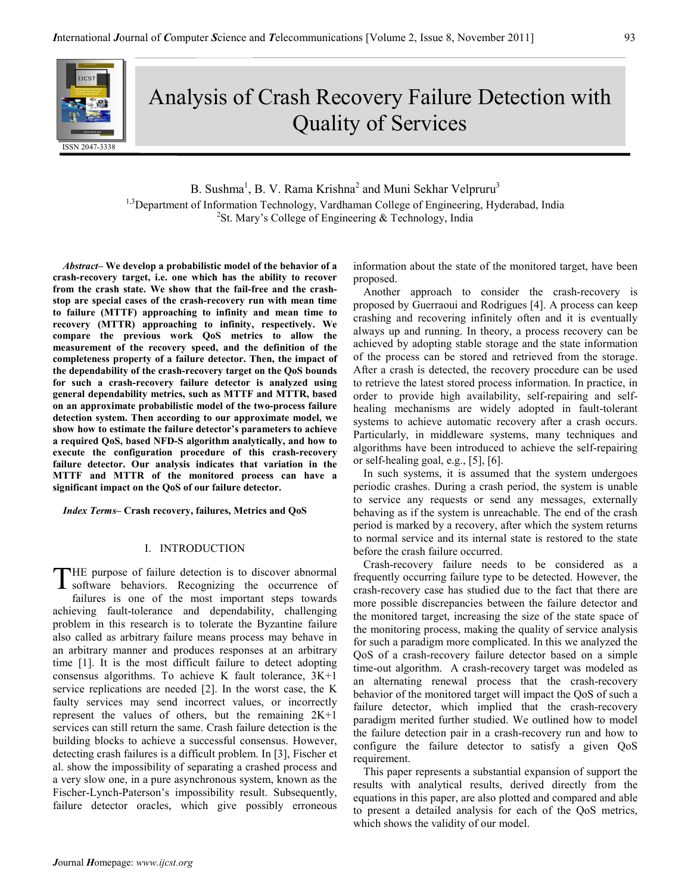# Analysis of Crash Recovery Failure Detection with Quality of Services

B. Sushma<sup>1</sup>, B. V. Rama Krishna<sup>2</sup> and Muni Sekhar Velpruru<sup>3</sup> <sup>1,3</sup>Department of Information Technology, Vardhaman College of Engineering, Hyderabad, India <sup>2</sup>St. Mary's College of Engineering & Technology, India

Abstract– We develop a probabilistic model of the behavior of a crash-recovery target, i.e. one which has the ability to recover from the crash state. We show that the fail-free and the crashstop are special cases of the crash-recovery run with mean time to failure (MTTF) approaching to infinity and mean time to recovery (MTTR) approaching to infinity, respectively. We compare the previous work QoS metrics to allow the measurement of the recovery speed, and the definition of the completeness property of a failure detector. Then, the impact of the dependability of the crash-recovery target on the QoS bounds for such a crash-recovery failure detector is analyzed using general dependability metrics, such as MTTF and MTTR, based on an approximate probabilistic model of the two-process failure detection system. Then according to our approximate model, we show how to estimate the failure detector's parameters to achieve a required QoS, based NFD-S algorithm analytically, and how to execute the configuration procedure of this crash-recovery failure detector. Our analysis indicates that variation in the MTTF and MTTR of the monitored process can have a significant impact on the QoS of our failure detector.

Index Terms– Crash recovery, failures, Metrics and QoS

## I. INTRODUCTION

HE purpose of failure detection is to discover abnormal THE purpose of failure detection is to discover abnormal<br>software behaviors. Recognizing the occurrence of failures is one of the most important steps towards achieving fault-tolerance and dependability, challenging problem in this research is to tolerate the Byzantine failure also called as arbitrary failure means process may behave in an arbitrary manner and produces responses at an arbitrary time [1]. It is the most difficult failure to detect adopting consensus algorithms. To achieve K fault tolerance, 3K+1 service replications are needed [2]. In the worst case, the K faulty services may send incorrect values, or incorrectly represent the values of others, but the remaining 2K+1 services can still return the same. Crash failure detection is the building blocks to achieve a successful consensus. However, detecting crash failures is a difficult problem. In [3], Fischer et al. show the impossibility of separating a crashed process and a very slow one, in a pure asynchronous system, known as the Fischer-Lynch-Paterson's impossibility result. Subsequently, failure detector oracles, which give possibly erroneous

information about the state of the monitored target, have been proposed.

Another approach to consider the crash-recovery is proposed by Guerraoui and Rodrigues [4]. A process can keep crashing and recovering infinitely often and it is eventually always up and running. In theory, a process recovery can be achieved by adopting stable storage and the state information of the process can be stored and retrieved from the storage. After a crash is detected, the recovery procedure can be used to retrieve the latest stored process information. In practice, in order to provide high availability, self-repairing and selfhealing mechanisms are widely adopted in fault-tolerant systems to achieve automatic recovery after a crash occurs. Particularly, in middleware systems, many techniques and algorithms have been introduced to achieve the self-repairing or self-healing goal, e.g., [5], [6].

In such systems, it is assumed that the system undergoes periodic crashes. During a crash period, the system is unable to service any requests or send any messages, externally behaving as if the system is unreachable. The end of the crash period is marked by a recovery, after which the system returns to normal service and its internal state is restored to the state before the crash failure occurred.

Crash-recovery failure needs to be considered as a frequently occurring failure type to be detected. However, the crash-recovery case has studied due to the fact that there are more possible discrepancies between the failure detector and the monitored target, increasing the size of the state space of the monitoring process, making the quality of service analysis for such a paradigm more complicated. In this we analyzed the QoS of a crash-recovery failure detector based on a simple time-out algorithm. A crash-recovery target was modeled as an alternating renewal process that the crash-recovery behavior of the monitored target will impact the QoS of such a failure detector, which implied that the crash-recovery paradigm merited further studied. We outlined how to model the failure detection pair in a crash-recovery run and how to configure the failure detector to satisfy a given QoS requirement.

This paper represents a substantial expansion of support the results with analytical results, derived directly from the equations in this paper, are also plotted and compared and able to present a detailed analysis for each of the QoS metrics, which shows the validity of our model.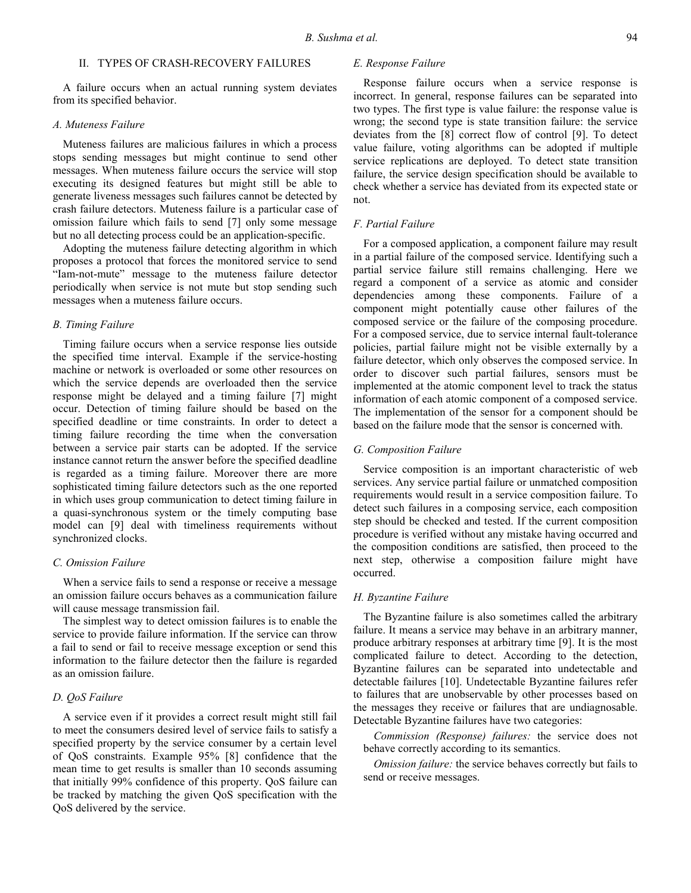# II. TYPES OF CRASH-RECOVERY FAILURES

A failure occurs when an actual running system deviates from its specified behavior.

## A. Muteness Failure

Muteness failures are malicious failures in which a process stops sending messages but might continue to send other messages. When muteness failure occurs the service will stop executing its designed features but might still be able to generate liveness messages such failures cannot be detected by crash failure detectors. Muteness failure is a particular case of omission failure which fails to send [7] only some message but no all detecting process could be an application-specific.

Adopting the muteness failure detecting algorithm in which proposes a protocol that forces the monitored service to send "Iam-not-mute" message to the muteness failure detector periodically when service is not mute but stop sending such messages when a muteness failure occurs.

# B. Timing Failure

Timing failure occurs when a service response lies outside the specified time interval. Example if the service-hosting machine or network is overloaded or some other resources on which the service depends are overloaded then the service response might be delayed and a timing failure [7] might occur. Detection of timing failure should be based on the specified deadline or time constraints. In order to detect a timing failure recording the time when the conversation between a service pair starts can be adopted. If the service instance cannot return the answer before the specified deadline is regarded as a timing failure. Moreover there are more sophisticated timing failure detectors such as the one reported in which uses group communication to detect timing failure in a quasi-synchronous system or the timely computing base model can [9] deal with timeliness requirements without synchronized clocks.

## C. Omission Failure

When a service fails to send a response or receive a message an omission failure occurs behaves as a communication failure will cause message transmission fail.

The simplest way to detect omission failures is to enable the service to provide failure information. If the service can throw a fail to send or fail to receive message exception or send this information to the failure detector then the failure is regarded as an omission failure.

# D. QoS Failure

A service even if it provides a correct result might still fail to meet the consumers desired level of service fails to satisfy a specified property by the service consumer by a certain level of QoS constraints. Example 95% [8] confidence that the mean time to get results is smaller than 10 seconds assuming that initially 99% confidence of this property. QoS failure can be tracked by matching the given QoS specification with the QoS delivered by the service.

# E. Response Failure

Response failure occurs when a service response is incorrect. In general, response failures can be separated into two types. The first type is value failure: the response value is wrong; the second type is state transition failure: the service deviates from the [8] correct flow of control [9]. To detect value failure, voting algorithms can be adopted if multiple service replications are deployed. To detect state transition failure, the service design specification should be available to check whether a service has deviated from its expected state or not.

# F. Partial Failure

For a composed application, a component failure may result in a partial failure of the composed service. Identifying such a partial service failure still remains challenging. Here we regard a component of a service as atomic and consider dependencies among these components. Failure of a component might potentially cause other failures of the composed service or the failure of the composing procedure. For a composed service, due to service internal fault-tolerance policies, partial failure might not be visible externally by a failure detector, which only observes the composed service. In order to discover such partial failures, sensors must be implemented at the atomic component level to track the status information of each atomic component of a composed service. The implementation of the sensor for a component should be based on the failure mode that the sensor is concerned with.

# G. Composition Failure

Service composition is an important characteristic of web services. Any service partial failure or unmatched composition requirements would result in a service composition failure. To detect such failures in a composing service, each composition step should be checked and tested. If the current composition procedure is verified without any mistake having occurred and the composition conditions are satisfied, then proceed to the next step, otherwise a composition failure might have occurred.

#### H. Byzantine Failure

The Byzantine failure is also sometimes called the arbitrary failure. It means a service may behave in an arbitrary manner, produce arbitrary responses at arbitrary time [9]. It is the most complicated failure to detect. According to the detection, Byzantine failures can be separated into undetectable and detectable failures [10]. Undetectable Byzantine failures refer to failures that are unobservable by other processes based on the messages they receive or failures that are undiagnosable. Detectable Byzantine failures have two categories:

Commission (Response) failures: the service does not behave correctly according to its semantics.

Omission failure: the service behaves correctly but fails to send or receive messages.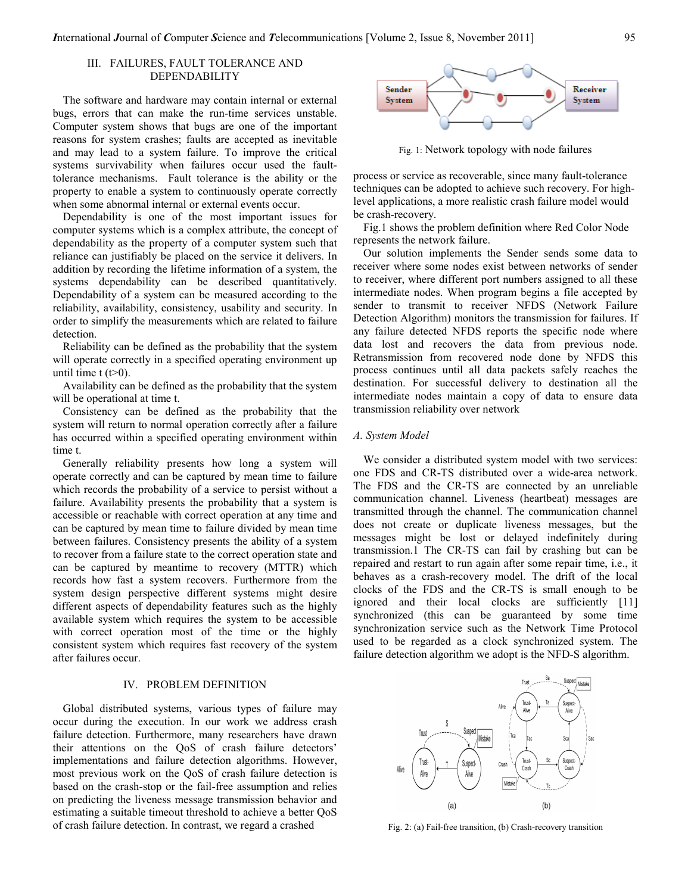# III. FAILURES, FAULT TOLERANCE AND DEPENDABILITY

The software and hardware may contain internal or external bugs, errors that can make the run-time services unstable. Computer system shows that bugs are one of the important reasons for system crashes; faults are accepted as inevitable and may lead to a system failure. To improve the critical systems survivability when failures occur used the faulttolerance mechanisms. Fault tolerance is the ability or the property to enable a system to continuously operate correctly when some abnormal internal or external events occur.

Dependability is one of the most important issues for computer systems which is a complex attribute, the concept of dependability as the property of a computer system such that reliance can justifiably be placed on the service it delivers. In addition by recording the lifetime information of a system, the systems dependability can be described quantitatively. Dependability of a system can be measured according to the reliability, availability, consistency, usability and security. In order to simplify the measurements which are related to failure detection.

Reliability can be defined as the probability that the system will operate correctly in a specified operating environment up until time  $t (t>0)$ .

Availability can be defined as the probability that the system will be operational at time t.

Consistency can be defined as the probability that the system will return to normal operation correctly after a failure has occurred within a specified operating environment within time t.

Generally reliability presents how long a system will operate correctly and can be captured by mean time to failure which records the probability of a service to persist without a failure. Availability presents the probability that a system is accessible or reachable with correct operation at any time and can be captured by mean time to failure divided by mean time between failures. Consistency presents the ability of a system to recover from a failure state to the correct operation state and can be captured by meantime to recovery (MTTR) which records how fast a system recovers. Furthermore from the system design perspective different systems might desire different aspects of dependability features such as the highly available system which requires the system to be accessible with correct operation most of the time or the highly consistent system which requires fast recovery of the system after failures occur.

## IV. PROBLEM DEFINITION

Global distributed systems, various types of failure may occur during the execution. In our work we address crash failure detection. Furthermore, many researchers have drawn their attentions on the QoS of crash failure detectors' implementations and failure detection algorithms. However, most previous work on the QoS of crash failure detection is based on the crash-stop or the fail-free assumption and relies on predicting the liveness message transmission behavior and estimating a suitable timeout threshold to achieve a better QoS of crash failure detection. In contrast, we regard a crashed



Fig. 1: Network topology with node failures

process or service as recoverable, since many fault-tolerance techniques can be adopted to achieve such recovery. For highlevel applications, a more realistic crash failure model would be crash-recovery.

Fig.1 shows the problem definition where Red Color Node represents the network failure.

Our solution implements the Sender sends some data to receiver where some nodes exist between networks of sender to receiver, where different port numbers assigned to all these intermediate nodes. When program begins a file accepted by sender to transmit to receiver NFDS (Network Failure Detection Algorithm) monitors the transmission for failures. If any failure detected NFDS reports the specific node where data lost and recovers the data from previous node. Retransmission from recovered node done by NFDS this process continues until all data packets safely reaches the destination. For successful delivery to destination all the intermediate nodes maintain a copy of data to ensure data transmission reliability over network

### A. System Model

We consider a distributed system model with two services: one FDS and CR-TS distributed over a wide-area network. The FDS and the CR-TS are connected by an unreliable communication channel. Liveness (heartbeat) messages are transmitted through the channel. The communication channel does not create or duplicate liveness messages, but the messages might be lost or delayed indefinitely during transmission.1 The CR-TS can fail by crashing but can be repaired and restart to run again after some repair time, i.e., it behaves as a crash-recovery model. The drift of the local clocks of the FDS and the CR-TS is small enough to be ignored and their local clocks are sufficiently [11] synchronized (this can be guaranteed by some time synchronization service such as the Network Time Protocol used to be regarded as a clock synchronized system. The failure detection algorithm we adopt is the NFD-S algorithm.



Fig. 2: (a) Fail-free transition, (b) Crash-recovery transition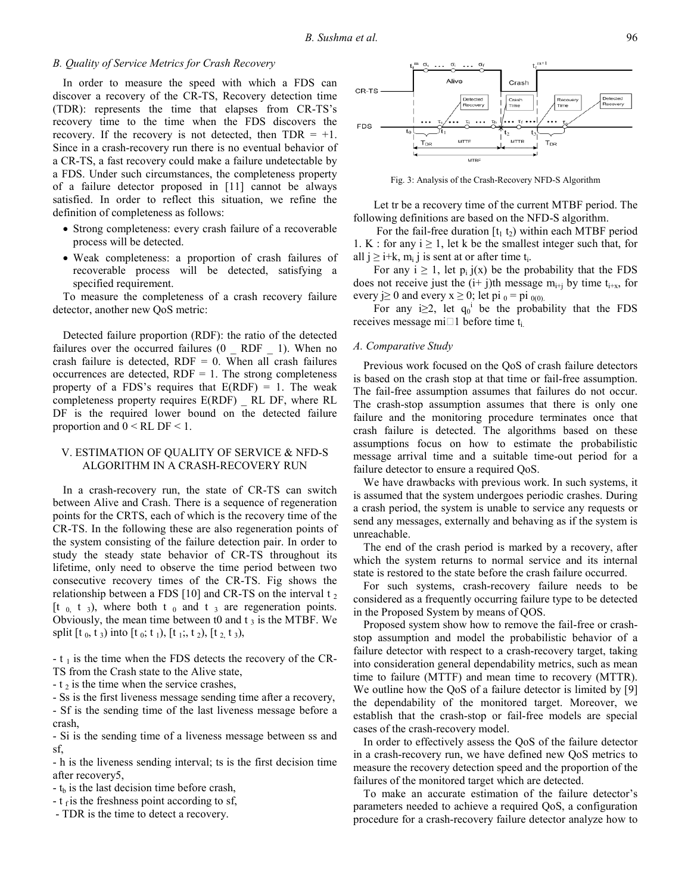# B. Quality of Service Metrics for Crash Recovery

In order to measure the speed with which a FDS can discover a recovery of the CR-TS, Recovery detection time (TDR): represents the time that elapses from CR-TS's recovery time to the time when the FDS discovers the recovery. If the recovery is not detected, then  $TDR = +1$ . Since in a crash-recovery run there is no eventual behavior of a CR-TS, a fast recovery could make a failure undetectable by a FDS. Under such circumstances, the completeness property of a failure detector proposed in [11] cannot be always satisfied. In order to reflect this situation, we refine the definition of completeness as follows:

- Strong completeness: every crash failure of a recoverable process will be detected.
- Weak completeness: a proportion of crash failures of recoverable process will be detected, satisfying a specified requirement.

To measure the completeness of a crash recovery failure detector, another new QoS metric:

Detected failure proportion (RDF): the ratio of the detected failures over the occurred failures (0 RDF 1). When no crash failure is detected,  $RDF = 0$ . When all crash failures occurrences are detected,  $RDF = 1$ . The strong completeness property of a FDS's requires that  $E(RDF) = 1$ . The weak completeness property requires E(RDF) \_ RL DF, where RL DF is the required lower bound on the detected failure proportion and  $0 < RL$  DF  $< 1$ .

# V. ESTIMATION OF QUALITY OF SERVICE & NFD-S ALGORITHM IN A CRASH-RECOVERY RUN

In a crash-recovery run, the state of CR-TS can switch between Alive and Crash. There is a sequence of regeneration points for the CRTS, each of which is the recovery time of the CR-TS. In the following these are also regeneration points of the system consisting of the failure detection pair. In order to study the steady state behavior of CR-TS throughout its lifetime, only need to observe the time period between two consecutive recovery times of the CR-TS. Fig shows the relationship between a FDS [10] and CR-TS on the interval  $t_2$ [t  $_0$  t  $_3$ ), where both t  $_0$  and t  $_3$  are regeneration points. Obviously, the mean time between t0 and  $t_3$  is the MTBF. We split  $[t_0, t_3)$  into  $[t_0; t_1)$ ,  $[t_1; t_2)$ ,  $[t_2, t_3)$ ,

 $-t_1$  is the time when the FDS detects the recovery of the CR-TS from the Crash state to the Alive state,

 $-t_2$  is the time when the service crashes,

- Ss is the first liveness message sending time after a recovery,

- Sf is the sending time of the last liveness message before a crash,

- Si is the sending time of a liveness message between ss and sf,

- h is the liveness sending interval; ts is the first decision time after recovery5,

 $-t<sub>b</sub>$  is the last decision time before crash,

-  $t_f$  is the freshness point according to sf,

- TDR is the time to detect a recovery.



Fig. 3: Analysis of the Crash-Recovery NFD-S Algorithm

Let tr be a recovery time of the current MTBF period. The following definitions are based on the NFD-S algorithm.

For the fail-free duration  $[t_1 t_2)$  within each MTBF period 1. K : for any  $i \ge 1$ , let k be the smallest integer such that, for all  $j \ge i+k$ ,  $m_i$  j is sent at or after time  $t_i$ .

For any  $i \ge 1$ , let  $p_i$  j(x) be the probability that the FDS does not receive just the  $(i+j)$ th message m<sub>i+j</sub> by time t<sub>i+x</sub>, for every  $j \ge 0$  and every  $x \ge 0$ ; let pi  $_0 =$  pi  $_{0(0)}$ .

For any i $\geq 2$ , let  $q_0^i$  be the probability that the FDS receives message mi 1 before time t<sub>i.</sub>

## A. Comparative Study

Previous work focused on the QoS of crash failure detectors is based on the crash stop at that time or fail-free assumption. The fail-free assumption assumes that failures do not occur. The crash-stop assumption assumes that there is only one failure and the monitoring procedure terminates once that crash failure is detected. The algorithms based on these assumptions focus on how to estimate the probabilistic message arrival time and a suitable time-out period for a failure detector to ensure a required QoS.

We have drawbacks with previous work. In such systems, it is assumed that the system undergoes periodic crashes. During a crash period, the system is unable to service any requests or send any messages, externally and behaving as if the system is unreachable.

The end of the crash period is marked by a recovery, after which the system returns to normal service and its internal state is restored to the state before the crash failure occurred.

For such systems, crash-recovery failure needs to be considered as a frequently occurring failure type to be detected in the Proposed System by means of QOS.

Proposed system show how to remove the fail-free or crashstop assumption and model the probabilistic behavior of a failure detector with respect to a crash-recovery target, taking into consideration general dependability metrics, such as mean time to failure (MTTF) and mean time to recovery (MTTR). We outline how the QoS of a failure detector is limited by [9] the dependability of the monitored target. Moreover, we establish that the crash-stop or fail-free models are special cases of the crash-recovery model.

In order to effectively assess the QoS of the failure detector in a crash-recovery run, we have defined new QoS metrics to measure the recovery detection speed and the proportion of the failures of the monitored target which are detected.

To make an accurate estimation of the failure detector's parameters needed to achieve a required QoS, a configuration procedure for a crash-recovery failure detector analyze how to